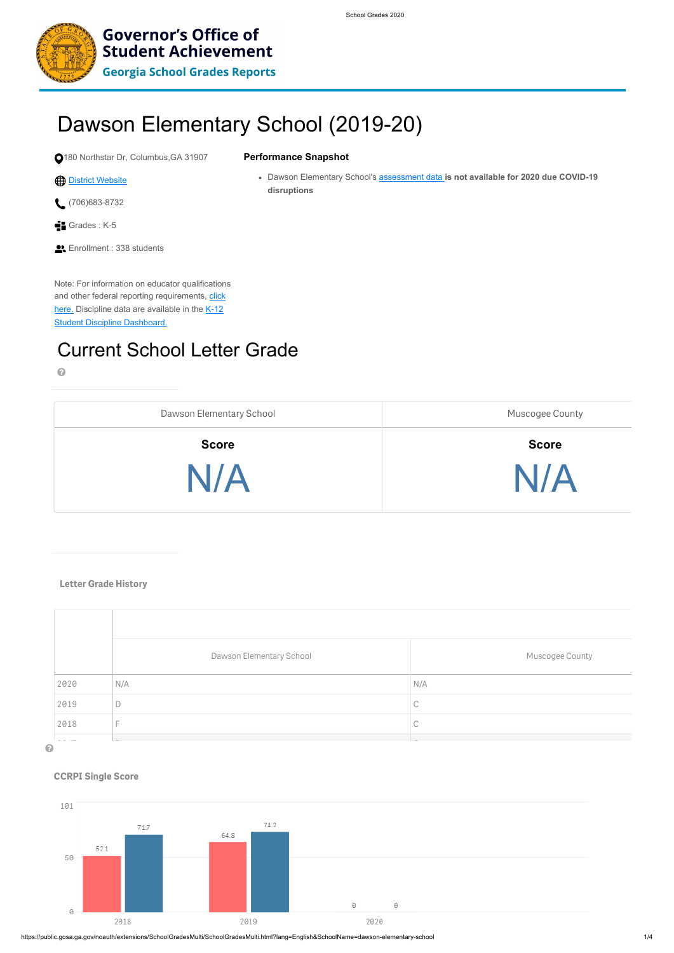

**Governor's Office of Student Achievement** 

**Georgia School Grades Reports** 

https://public.gosa.ga.gov/noauth/extensions/SchoolGradesMulti/SchoolGradesMulti.html?lang=English&SchoolName=dawson-elementary-school 1/4

- (706)683-8732
- Grades : K-5
- **Enrollment : 338 students**

Note: For information on educator qualifications [and other federal reporting requirements, click](https://gaawards.gosa.ga.gov/analytics/K12ReportCard) [here. Discipline data are available in the K-12](https://public.gosa.ga.gov/noauth/extensions/DisciplineDASHV1/DisciplineDASHV1.html) **Student Discipline Dashboard.** 

# Dawson Elementary School (2019-20)

180 Northstar Dr, Columbus,GA 31907

# **[District Website](https://www.muscogee.k12.ga.us/)**

### **Performance Snapshot**

Dawson Elementary School's assessment data **is not available for 2020 due COVID-19 disruptions**

# Current School Letter Grade

# $\bullet$

| Dawson Elementary School | <b>Muscogee County</b> |
|--------------------------|------------------------|
| <b>Score</b>             | <b>Score</b>           |
| N/A                      | N/A                    |

# **Letter Grade History**





|      | Dawson Elementary School | Muscogee County |  |
|------|--------------------------|-----------------|--|
| 2020 | N/A                      | N/A             |  |
| 2019 | $\Box$                   | ◡               |  |

### **CCRPI Single Score**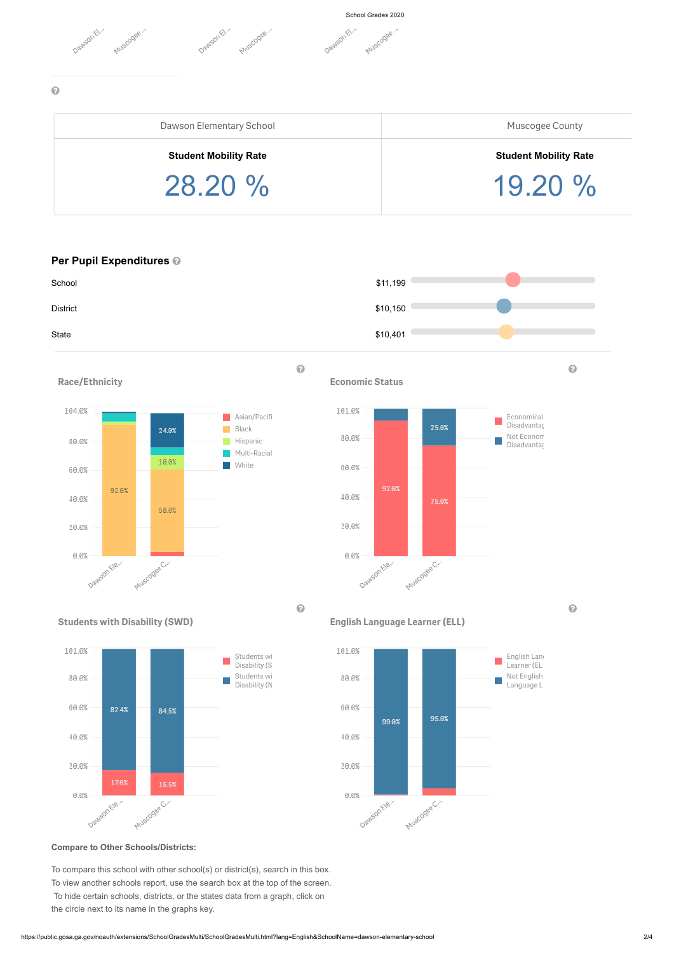

# $\odot$



# **Per Pupil Expenditures**

#### **Compare to Other Schools/Districts:**

To compare this school with other school(s) or district(s), search in this box. To view another schools report, use the search box at the top of the screen. To hide certain schools, districts, or the states data from a graph, click on the circle next to its name in the graphs key.



| Dawson Elementary School     | Muscogee County              |
|------------------------------|------------------------------|
| <b>Student Mobility Rate</b> | <b>Student Mobility Rate</b> |
| $28.20 \%$                   | 19.20%                       |

**Race/Ethnicity**



**Economic Status**







**English Language Learner (ELL)**

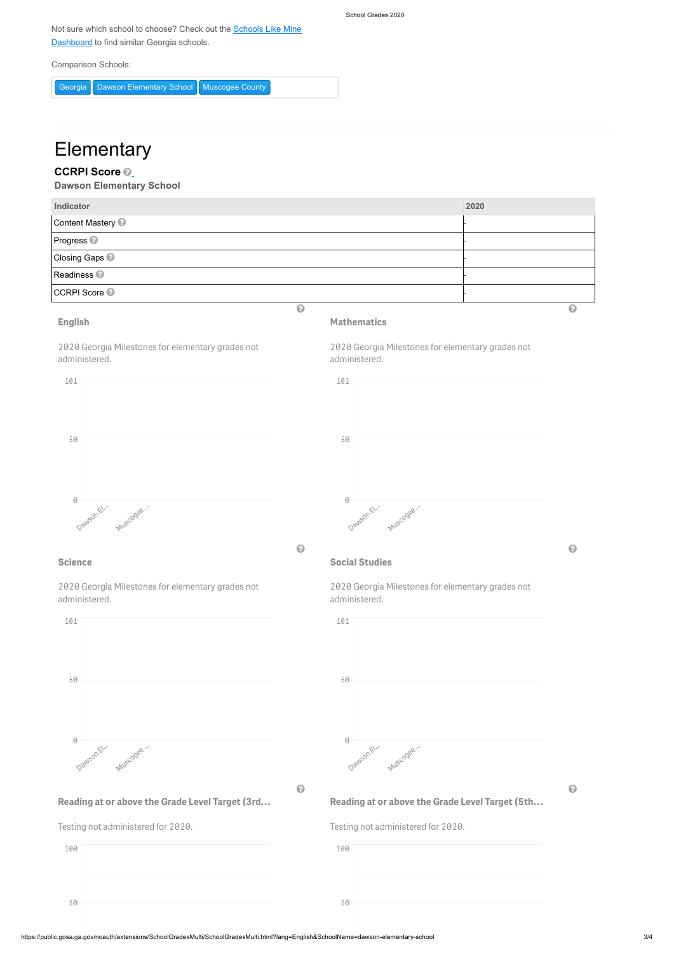School Grades 2020

[Not sure which school to choose? Check out the Schools Like Mine](http://schoolslikemine.gosa.ga.gov/) **Dashboard** to find similar Georgia schools.

https://public.gosa.ga.gov/noauth/extensions/SchoolGradesMulti/SchoolGradesMulti.html?lang=English&SchoolName=dawson-elementary-school 3/4

Comparison Schools:

Georgia Dawson Elementary School Muscogee County

# **Elementary**

# **CCRPI Score**

**Dawson Elementary School**

| Indicator                        | 2020 |
|----------------------------------|------|
| Content Mastery <sup>2</sup>     |      |
| Progress <sup>2</sup>            |      |
| <b>Closing Gaps <sup>@</sup></b> |      |
| Readiness <sup>2</sup>           |      |
| <b>CCRPI Score @</b>             |      |
| $\bullet$                        | (2   |



**English**

2020 Georgia Milestones for elementary grades not administered.



# **Mathematics**

2020 Georgia Milestones for elementary grades not administered.

# **Science**

2020 Georgia Milestones for elementary grades not administered.

101

# **Social Studies**

2020 Georgia Milestones for elementary grades not administered.



50





**Reading at or above the Grade Level Target (3rd…**

Testing not administered for 2020.

 $\bullet$   $\bullet$   $\bullet$   $\bullet$ 

**Reading at or above the Grade Level Target (5th…**

Testing not administered for 2020.